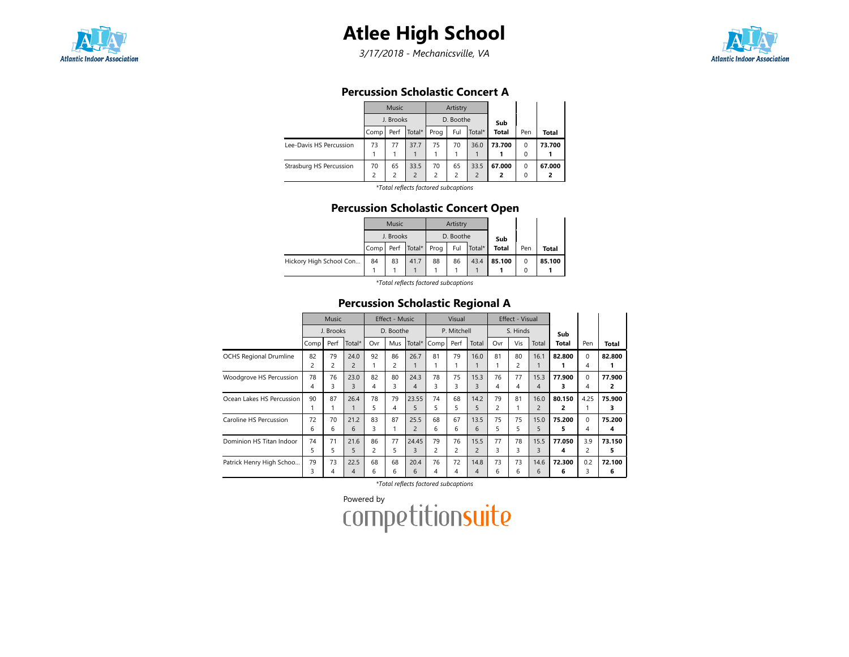

# Atlee High School

3/17/2018 - Mechanicsville, VA



### Percussion Scholastic Concert A

|                         |      | <b>Music</b>  |                          |                | Artistry  |               |              |          |        |  |  |  |  |  |  |
|-------------------------|------|---------------|--------------------------|----------------|-----------|---------------|--------------|----------|--------|--|--|--|--|--|--|
|                         |      | J. Brooks     |                          |                | D. Boothe |               | Sub          |          |        |  |  |  |  |  |  |
|                         | Comp | Perf          | Total*                   | Prog           | Ful       | Total*        | <b>Total</b> | Pen      | Total  |  |  |  |  |  |  |
| Lee-Davis HS Percussion | 73   | 77            | 37.7                     | 75             | 70        | 36.0          | 73.700       | $\Omega$ | 73.700 |  |  |  |  |  |  |
|                         |      |               |                          |                |           |               |              | 0        |        |  |  |  |  |  |  |
| Strasburg HS Percussion | 70   | 65            | 33.5                     | 70             | 65        | 33.5          | 67.000       | $\Omega$ | 67.000 |  |  |  |  |  |  |
|                         | 2    | $\mathcal{P}$ | $\overline{\phantom{0}}$ | $\mathfrak{p}$ | 2         | $\mathcal{P}$ | 2            | 0        |        |  |  |  |  |  |  |
|                         |      |               | .                        |                |           |               |              |          |        |  |  |  |  |  |  |

\*Total reflects factored subcaptions

### Percussion Scholastic Concert Open

|                         |           | Music     |             |    | Artistry  |        |        |     |        |
|-------------------------|-----------|-----------|-------------|----|-----------|--------|--------|-----|--------|
|                         |           | J. Brooks |             |    | D. Boothe |        | Sub    |     |        |
|                         | Comp Perf |           | Total* Prog |    | Ful       | Total* | Total  | Pen | Total  |
| Hickory High School Con | 84        | 83        | 41.7        | 88 | 86        | 43.4   | 85.100 |     | 85.100 |
|                         |           |           |             |    |           |        |        |     |        |

\*Total reflects factored subcaptions

### Percussion Scholastic Regional A

|                               | <b>Music</b>   |      |                | Effect - Music<br>D. Boothe |     |                | Visual<br>P. Mitchell |                |                |          | Effect - Visual |                |        |          |              |
|-------------------------------|----------------|------|----------------|-----------------------------|-----|----------------|-----------------------|----------------|----------------|----------|-----------------|----------------|--------|----------|--------------|
|                               | J. Brooks      |      |                |                             |     |                |                       |                |                | S. Hinds |                 | Sub            |        |          |              |
|                               | Comp           | Perf | Total*         | Ovr                         | Mus | Total*         | Comp                  | Perf           | Total          | Ovr      | Vis             | Total          | Total  | Pen      | <b>Total</b> |
| <b>OCHS Regional Drumline</b> | 82             | 79   | 24.0           | 92                          | 86  | 26.7           | 81                    | 79             | 16.0           | 81       | 80              | 16.1           | 82.800 | $\Omega$ | 82.800       |
|                               | $\overline{c}$ | 2    | $\overline{2}$ |                             | 2   |                |                       |                |                |          | $\overline{c}$  |                |        | 4        |              |
| Woodgrove HS Percussion       | 78             | 76   | 23.0           | 82                          | 80  | 24.3           | 78                    | 75             | 15.3           | 76       | 77              | 15.3           | 77.900 | $\Omega$ | 77.900       |
|                               | 4              | 3    | 3              | 4                           | 3   | 4              | 3                     | 3              | 3              | 4        | 4               | $\overline{4}$ | з      | 4        | 2            |
| Ocean Lakes HS Percussion     | 90             | 87   | 26.4           | 78                          | 79  | 23.55          | 74                    | 68             | 14.2           | 79       | 81              | 16.0           | 80.150 | 4.25     | 75.900       |
|                               |                |      |                | 5                           | 4   | 5              | 5                     | 5              | 5              | 2        |                 | $\overline{2}$ | 2      |          | 3            |
| Caroline HS Percussion        | 72             | 70   | 21.2           | 83                          | 87  | 25.5           | 68                    | 67             | 13.5           | 75       | 75              | 15.0           | 75.200 | $\Omega$ | 75.200       |
|                               | 6              | 6    | 6              | 3                           |     | $\overline{c}$ | 6                     | 6              | 6              | 5.       | 5               | 5              | 5      | 4        | 4            |
| Dominion HS Titan Indoor      | 74             | 71   | 21.6           | 86                          | 77  | 24.45          | 79                    | 76             | 15.5           | 77       | 78              | 15.5           | 77.050 | 3.9      | 73.150       |
|                               | 5              | 5    | 5              | $\overline{c}$              | 5   | 3              | $\overline{c}$        | $\overline{c}$ | $\overline{c}$ | 3        | 3               | 3              | 4      | 2        | 5            |
| Patrick Henry High Schoo      | 79             | 73   | 22.5           | 68                          | 68  | 20.4           | 76                    | 72             | 14.8           | 73       | 73              | 14.6           | 72.300 | 0.2      | 72.100       |
|                               | 3              | 4    | $\overline{4}$ | 6                           | 6   | 6              | 4                     | 4              | $\overline{4}$ | 6        | 6               | 6              | 6      | 3        | 6            |

\*Total reflects factored subcaptions